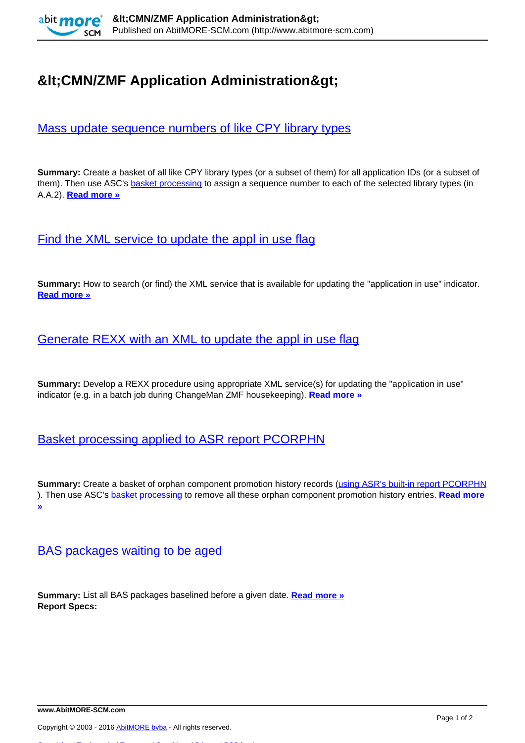

# **&It:CMN/ZMF Application Administration&gt:**

# [Mass update sequence numbers of like CPY library types](http://www.abitmore-scm.com/products/commander/usecases/mass-update-sequence-numbers-of-like-cpy-library-types)

**Summary:** Create a basket of all like CPY library types (or a subset of them) for all application IDs (or a subset of them). Then use ASC's **basket processing** to assign a sequence number to each of the selected library types (in A.A.2). **[Read more »](http://www.abitmore-scm.com/products/commander/usecases/mass-update-sequence-numbers-of-like-cpy-library-types)**

[Find the XML service to update the appl in use flag](http://www.abitmore-scm.com/products/commander/usecases/find-an-xml-service)

**Summary:** How to search (or find) the XML service that is available for updating the "application in use" indicator. **[Read more »](http://www.abitmore-scm.com/products/commander/usecases/find-an-xml-service)**

#### [Generate REXX with an XML to update the appl in use flag](http://www.abitmore-scm.com/products/commander/usecases/generate-rexx-to-reset-isApplBusy)

**Summary:** Develop a REXX procedure using appropriate XML service(s) for updating the "application in use" indicator (e.g. in a batch job during ChangeMan ZMF housekeeping). **[Read more »](http://www.abitmore-scm.com/products/commander/usecases/generate-rexx-to-reset-isApplBusy)**

## [Basket processing applied to ASR report PCORPHN](http://www.abitmore-scm.com/products/commander/usecases/remove-orphan-promotion-history)

**Summary:** Create a basket of orphan component promotion history records ([using ASR's built-in report PCORPHN](http://www.abitmore-scm.com/products/reporting/builtin-reports/pcorphn) ). Then use ASC's [basket processing](http://www.abitmore-scm.com/products/commander/features/basket-processing) to remove all these orphan component promotion history entries. **[Read more](http://www.abitmore-scm.com/products/commander/usecases/remove-orphan-promotion-history) [»](http://www.abitmore-scm.com/products/commander/usecases/remove-orphan-promotion-history)**

## [BAS packages waiting to be aged](http://www.abitmore-scm.com/products/reporting/builtin-reports/pkgs2age)

**Summary:** List all BAS packages baselined before a given date. **[Read more »](http://www.abitmore-scm.com/products/reporting/builtin-reports/pkgs2age) Report Specs:** 

[Copyrights](http://www.abitmore-scm.com/legal/copyrights) | [Trademarks](http://www.abitmore-scm.com/legal/trademarks) | [Terms and Conditions](http://www.abitmore-scm.com/legal/terms) | [Privacy](http://www.abitmore-scm.com/legal/privacy) | [RSS feeds](http://www.abitmore-scm.com/rss.xml)